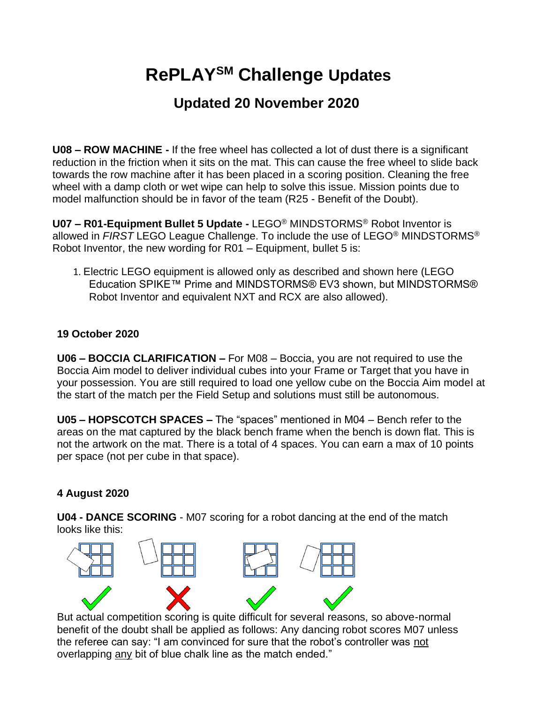## **RePLAYSM Challenge Updates**

## **Updated 20 November 2020**

**U08 – ROW MACHINE -** If the free wheel has collected a lot of dust there is a significant reduction in the friction when it sits on the mat. This can cause the free wheel to slide back towards the row machine after it has been placed in a scoring position. Cleaning the free wheel with a damp cloth or wet wipe can help to solve this issue. Mission points due to model malfunction should be in favor of the team (R25 - Benefit of the Doubt).

**U07 – R01-Equipment Bullet 5 Update -** LEGO® MINDSTORMS® Robot Inventor is allowed in *FIRST* LEGO League Challenge. To include the use of LEGO® MINDSTORMS® Robot Inventor, the new wording for R01 – Equipment, bullet 5 is:

1. Electric LEGO equipment is allowed only as described and shown here (LEGO Education SPIKE™ Prime and MINDSTORMS® EV3 shown, but MINDSTORMS® Robot Inventor and equivalent NXT and RCX are also allowed).

## **19 October 2020**

**U06 – BOCCIA CLARIFICATION –** For M08 – Boccia, you are not required to use the Boccia Aim model to deliver individual cubes into your Frame or Target that you have in your possession. You are still required to load one yellow cube on the Boccia Aim model at the start of the match per the Field Setup and solutions must still be autonomous.

**U05 – HOPSCOTCH SPACES –** The "spaces" mentioned in M04 – Bench refer to the areas on the mat captured by the black bench frame when the bench is down flat. This is not the artwork on the mat. There is a total of 4 spaces. You can earn a max of 10 points per space (not per cube in that space).

## **4 August 2020**

**U04 - DANCE SCORING** - M07 scoring for a robot dancing at the end of the match looks like this:



But actual competition scoring is quite difficult for several reasons, so above-normal benefit of the doubt shall be applied as follows: Any dancing robot scores M07 unless the referee can say: "I am convinced for sure that the robot's controller was not overlapping any bit of blue chalk line as the match ended."